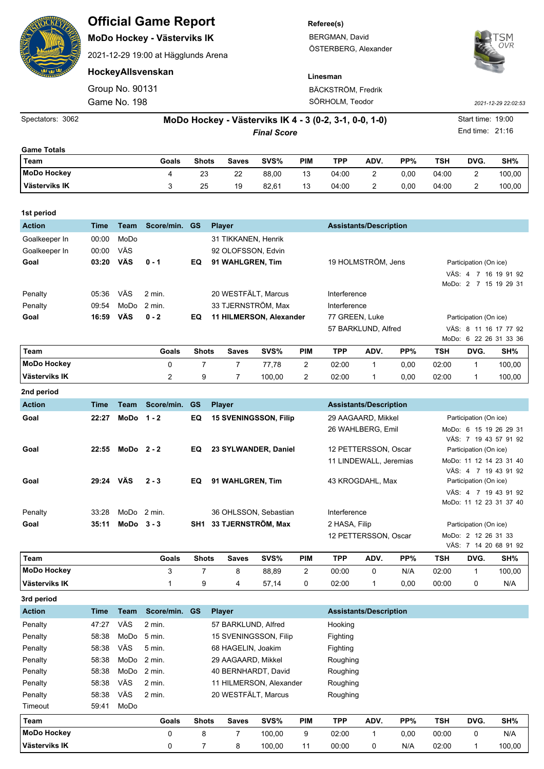| ENSIG                                  |                                                                              |                                 | <b>Official Game Report</b><br>MoDo Hockey - Västerviks IK<br>2021-12-29 19:00 at Hägglunds Arena |              |                                                               |       |                                       | Referee(s)<br>BERGMAN, David<br>ÖSTERBERG, Alexander | SM<br>OVR           |      |                                      |                                                                         |        |
|----------------------------------------|------------------------------------------------------------------------------|---------------------------------|---------------------------------------------------------------------------------------------------|--------------|---------------------------------------------------------------|-------|---------------------------------------|------------------------------------------------------|---------------------|------|--------------------------------------|-------------------------------------------------------------------------|--------|
|                                        |                                                                              |                                 | HockeyAllsvenskan                                                                                 |              |                                                               |       |                                       | Linesman                                             |                     |      |                                      |                                                                         |        |
|                                        |                                                                              | Group No. 90131<br>Game No. 198 |                                                                                                   |              |                                                               |       | BÄCKSTRÖM, Fredrik<br>SÖRHOLM, Teodor |                                                      | 2021-12-29 22:02:53 |      |                                      |                                                                         |        |
| Spectators: 3062                       | MoDo Hockey - Västerviks IK 4 - 3 (0-2, 3-1, 0-0, 1-0)<br><b>Final Score</b> |                                 |                                                                                                   |              |                                                               |       |                                       |                                                      |                     |      | Start time: 19:00<br>End time: 21:16 |                                                                         |        |
| <b>Game Totals</b>                     |                                                                              |                                 |                                                                                                   |              |                                                               |       |                                       |                                                      |                     |      |                                      |                                                                         |        |
| Team                                   |                                                                              |                                 | Goals                                                                                             | <b>Shots</b> | <b>Saves</b>                                                  | SVS%  | <b>PIM</b>                            | <b>TPP</b>                                           | ADV.                | PP%  | <b>TSH</b>                           | DVG.                                                                    | SH%    |
| <b>MoDo Hockey</b>                     |                                                                              |                                 | 4                                                                                                 | 23           | 22                                                            | 88,00 | 13                                    | 04:00                                                | 2                   | 0,00 | 04:00                                | 2                                                                       | 100,00 |
| Västerviks IK                          |                                                                              |                                 | 3                                                                                                 | 25           | 19                                                            | 82,61 | 13                                    | 04:00                                                | 2                   | 0,00 | 04:00                                | 2                                                                       | 100,00 |
| 1st period                             |                                                                              |                                 |                                                                                                   |              |                                                               |       |                                       |                                                      |                     |      |                                      |                                                                         |        |
| <b>Action</b>                          | <b>Time</b>                                                                  | <b>Team</b>                     | Score/min. GS                                                                                     |              | <b>Player</b>                                                 |       |                                       | <b>Assistants/Description</b>                        |                     |      |                                      |                                                                         |        |
| Goalkeeper In<br>Goalkeeper In<br>Goal | 00:00<br>00:00<br>03:20                                                      | MoDo<br>VÄS<br>VÄS              | $0 - 1$                                                                                           | EQ           | 31 TIKKANEN, Henrik<br>92 OLOFSSON, Edvin<br>91 WAHLGREN, Tim |       |                                       |                                                      | 19 HOLMSTRÖM, Jens  |      |                                      | Participation (On ice)<br>VÄS: 4 7 16 19 91 92<br>MoDo: 2 7 15 19 29 31 |        |

|                    |       |              |            |              |                              |        |                |            | 57 BARKLUND, Alfred           |      | VÄS: 8 11 16 17 77 92  |      |                        |  |  |
|--------------------|-------|--------------|------------|--------------|------------------------------|--------|----------------|------------|-------------------------------|------|------------------------|------|------------------------|--|--|
|                    |       |              |            |              |                              |        |                |            |                               |      |                        |      | MoDo: 6 22 26 31 33 36 |  |  |
| Team               |       |              | Goals      | <b>Shots</b> | <b>Saves</b>                 | SVS%   | <b>PIM</b>     | <b>TPP</b> | ADV.                          | PP%  | TSH                    | DVG. | SH%                    |  |  |
| <b>MoDo Hockey</b> |       |              | 0          |              |                              | 77,78  | 2              | 02:00      |                               | 0,00 | 02:00                  |      | 100,00                 |  |  |
| Västerviks IK      |       |              | 2          | 9            |                              | 100,00 | $\overline{2}$ | 02:00      |                               | 0.00 | 02:00                  |      | 100,00                 |  |  |
| 2nd period         |       |              |            |              |                              |        |                |            |                               |      |                        |      |                        |  |  |
| <b>Action</b>      | Time  | Team         | Score/min. | <b>GS</b>    | <b>Player</b>                |        |                |            | <b>Assistants/Description</b> |      |                        |      |                        |  |  |
| Goal               | 22:27 | MoDo $1 - 2$ |            | EQ           | <b>15 SVENINGSSON, Filip</b> |        |                |            | 29 AAGAARD, Mikkel            |      | Participation (On ice) |      |                        |  |  |
|                    |       |              |            |              |                              |        |                |            | 26 WAHLBERG, Emil             |      |                        |      | MoDo: 6 15 19 26 29 31 |  |  |
|                    |       |              |            |              |                              |        |                |            |                               |      |                        |      | VÄS: 7 19 43 57 91 92  |  |  |

**Goal 16:59 VÄS 0 - 2 EQ 11 HILMERSON, Alexander** 77 GREEN, Luke Participation (On ice)

Penalty 05:36 VÄS 2 min. 20 WESTFÄLT, Marcus Interference Penalty 09:54 MoDo 2 min. 33 TJERNSTRÖM, Max Interference

| <b>MoDo Hockey</b> |       |              | 3             |              | 8                      | 88.89 | 2          | 00:00         | 0                      | N/A | 02:00                  |                        | 100.00                  |  |
|--------------------|-------|--------------|---------------|--------------|------------------------|-------|------------|---------------|------------------------|-----|------------------------|------------------------|-------------------------|--|
| Team               |       |              | Goals         | <b>Shots</b> | <b>Saves</b>           | SVS%  | <b>PIM</b> | TPP           | ADV.                   | PP% | <b>TSH</b>             | DVG.                   | SH%                     |  |
|                    |       |              |               |              |                        |       |            |               | 12 PETTERSSON, Oscar   |     |                        | MoDo: 2 12 26 31 33    | VÄS: 7 14 20 68 91 92   |  |
| Goal               | 35:11 | $MODo$ 3 - 3 |               |              | SH1 33 TJERNSTRÖM, Max |       |            | 2 HASA, Filip |                        |     | Participation (On ice) |                        |                         |  |
| Penalty            | 33:28 |              | $MODo$ 2 min. |              | 36 OHLSSON, Sebastian  |       |            | Interference  |                        |     |                        |                        |                         |  |
|                    |       |              |               |              |                        |       |            |               |                        |     |                        |                        | MoDo: 11 12 23 31 37 40 |  |
|                    |       |              |               |              |                        |       |            |               |                        |     |                        | Participation (On ice) | VÄS: 4 7 19 43 91 92    |  |
| Goal               | 29:24 | <b>VÄS</b>   | $2 - 3$       | EQ.          | 91 WAHLGREN, Tim       |       |            |               | 43 KROGDAHL, Max       |     |                        |                        | VÄS: 4 7 19 43 91 92    |  |
|                    |       |              |               |              |                        |       |            |               | 11 LINDEWALL, Jeremias |     |                        |                        | MoDo: 11 12 14 23 31 40 |  |
| Goal               | 22:55 | $MODo 2-2$   |               | EQ.          | 23 SYLWANDER, Daniel   |       |            |               | 12 PETTERSSON, Oscar   |     |                        | Participation (On ice) |                         |  |

**Västerviks IK** 1 9 4 57,14 0 02:00 1 0,00 00:00 0 N/A **3rd period Action Time Team Score/min. GS Player Assistants/Description** Penalty 47:27 VÄS 2 min. 57 BARKLUND, Alfred Hooking Penalty 58:38 MoDo 5 min. 15 SVENINGSSON, Filip Fighting Penalty 58:38 VÄS 5 min. 68 HAGELIN, Joakim Fighting Penalty 58:38 MoDo 2 min. 29 AAGAARD, Mikkel Roughing Penalty 58:38 MoDo 2 min. 40 BERNHARDT, David Roughing Penalty 58:38 VÄS 2 min. 11 HILMERSON, Alexander Roughing Penalty 58:38 VÄS 2 min. 20 WESTFÄLT, Marcus Roughing Timeout 59:41 MoDo **Team Goals Shots Saves SVS% PIM TPP ADV. PP% TSH DVG. SH% MoDo Hockey** 0 8 7 100,00 9 02:00 1 0,00 00:00 0 N/A

**Västerviks IK** 0 7 8 100,00 11 00:00 0 N/A 02:00 1 100,00